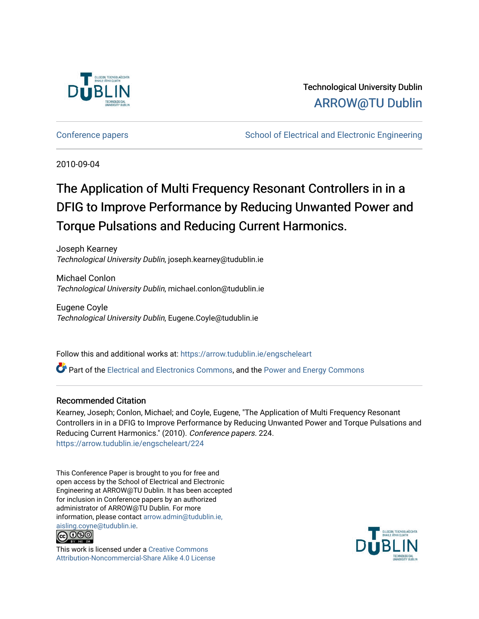

### Technological University Dublin [ARROW@TU Dublin](https://arrow.tudublin.ie/)

[Conference papers](https://arrow.tudublin.ie/engscheleart) [School of Electrical and Electronic Engineering](https://arrow.tudublin.ie/engschele) 

2010-09-04

## The Application of Multi Frequency Resonant Controllers in in a DFIG to Improve Performance by Reducing Unwanted Power and Torque Pulsations and Reducing Current Harmonics.

Joseph Kearney Technological University Dublin, joseph.kearney@tudublin.ie

Michael Conlon Technological University Dublin, michael.conlon@tudublin.ie

Eugene Coyle Technological University Dublin, Eugene.Coyle@tudublin.ie

Follow this and additional works at: [https://arrow.tudublin.ie/engscheleart](https://arrow.tudublin.ie/engscheleart?utm_source=arrow.tudublin.ie%2Fengscheleart%2F224&utm_medium=PDF&utm_campaign=PDFCoverPages) 

Part of the [Electrical and Electronics Commons](http://network.bepress.com/hgg/discipline/270?utm_source=arrow.tudublin.ie%2Fengscheleart%2F224&utm_medium=PDF&utm_campaign=PDFCoverPages), and the [Power and Energy Commons](http://network.bepress.com/hgg/discipline/274?utm_source=arrow.tudublin.ie%2Fengscheleart%2F224&utm_medium=PDF&utm_campaign=PDFCoverPages) 

#### Recommended Citation

Kearney, Joseph; Conlon, Michael; and Coyle, Eugene, "The Application of Multi Frequency Resonant Controllers in in a DFIG to Improve Performance by Reducing Unwanted Power and Torque Pulsations and Reducing Current Harmonics." (2010). Conference papers. 224. [https://arrow.tudublin.ie/engscheleart/224](https://arrow.tudublin.ie/engscheleart/224?utm_source=arrow.tudublin.ie%2Fengscheleart%2F224&utm_medium=PDF&utm_campaign=PDFCoverPages) 

This Conference Paper is brought to you for free and open access by the School of Electrical and Electronic Engineering at ARROW@TU Dublin. It has been accepted for inclusion in Conference papers by an authorized administrator of ARROW@TU Dublin. For more information, please contact [arrow.admin@tudublin.ie,](mailto:arrow.admin@tudublin.ie,%20aisling.coyne@tudublin.ie)  [aisling.coyne@tudublin.ie.](mailto:arrow.admin@tudublin.ie,%20aisling.coyne@tudublin.ie)



This work is licensed under a [Creative Commons](http://creativecommons.org/licenses/by-nc-sa/4.0/) [Attribution-Noncommercial-Share Alike 4.0 License](http://creativecommons.org/licenses/by-nc-sa/4.0/)

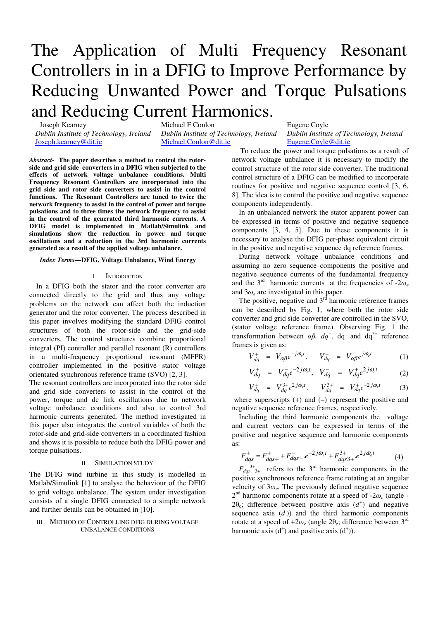# The Application of Multi Frequency Resonant Controllers in in a DFIG to Improve Performance by Reducing Unwanted Power and Torque Pulsations and Reducing Current Harmonics.

Joseph Kearney

*Dublin Institute of Technology, Ireland*  Joseph.kearney@dit.ie

Michael F Conlon

*Dublin Institute of Technology, Ireland*  Michael.Conlon@dit.ie

*Abstract-* **The paper describes a method to control the rotorside and grid side converters in a DFIG when subjected to the effects of network voltage unbalance conditions. Multi Frequency Resonant Controllers are incorporated into the grid side and rotor side converters to assist in the control functions. The Resonant Controllers are tuned to twice the network frequency to assist in the control of power and torque pulsations and to three times the network frequency to assist in the control of the generated third harmonic currents. A DFIG model is implemented in Matlab/Simulink and simulations show the reduction in power and torque oscillations and a reduction in the 3rd harmonic currents generated as a result of the applied voltage unbalance.** 

#### *Index Terms***—DFIG, Voltage Unbalance, Wind Energy**

#### I. INTRODUCTION

In a DFIG both the stator and the rotor converter are connected directly to the grid and thus any voltage problems on the network can affect both the induction generator and the rotor converter. The process described in this paper involves modifying the standard DFIG control structures of both the rotor-side and the grid-side converters. The control structures combine proportional integral (PI) controller and parallel resonant (R) controllers in a multi-frequency proportional resonant (MFPR) controller implemented in the positive stator voltage orientated synchronous reference frame (SVO) [2, 3].

The resonant controllers are incorporated into the rotor side and grid side converters to assist in the control of the power, torque and dc link oscillations due to network voltage unbalance conditions and also to control 3rd harmonic currents generated. The method investigated in this paper also integrates the control variables of both the rotor-side and grid-side converters in a coordinated fashion and shows it is possible to reduce both the DFIG power and torque pulsations.

#### II. SIMULATION STUDY

The DFIG wind turbine in this study is modelled in Matlab/Simulink [1] to analyse the behaviour of the DFIG to grid voltage unbalance. The system under investigation consists of a single DFIG connected to a simple network and further details can be obtained in [10].

#### III. METHOD OF CONTROLLING DFIG DURING VOLTAGE UNBALANCE CONDITIONS

Eugene Coyle *Dublin Institute of Technology, Ireland*  Eugene.Coyle@dit.ie

To reduce the power and torque pulsations as a result of network voltage unbalance it is necessary to modify the control structure of the rotor side converter. The traditional control structure of a DFIG can be modified to incorporate routines for positive and negative sequence control [3, 6, 8]. The idea is to control the positive and negative sequence components independently.

In an unbalanced network the stator apparent power can be expressed in terms of positive and negative sequence components [3, 4, 5]. Due to these components it is necessary to analyse the DFIG per-phase equivalent circuit in the positive and negative sequence dq reference frames.

During network voltage unbalance conditions and assuming no zero sequence components the positive and negative sequence currents of the fundamental frequency and the  $3<sup>rd</sup>$  harmonic currents at the frequencies of  $-2\omega_e$ and  $3\omega_e$  are investigated in this paper.

The positive, negative and  $3<sup>rd</sup>$  harmonic reference frames can be described by Fig. 1, where both the rotor side converter and grid side converter are controlled in the SVO, (stator voltage reference frame). Observing Fig. 1 the transformation between  $\alpha\beta$ ,  $dq^+$ , dq<sup>-</sup> and dq<sup>3+</sup> reference frames is given as:

$$
V_{dq}^{+} = V_{\alpha\beta}e^{-j\omega_{e}t}, \qquad V_{dq}^{-} = V_{\alpha\beta}e^{j\omega_{e}t} \qquad (1)
$$

$$
V_{dq}^{+} = V_{dq}^{-}e^{-2j\omega_{e}t}, \quad V_{dq}^{-} = V_{dq}^{+}e^{2j\omega_{e}t} \tag{2}
$$

$$
V_{dq}^{+} = V_{dq}^{3+} e^{2j\omega_{e}t}, \qquad V_{dq}^{3+} = V_{dq}^{+} e^{-2j\omega_{e}t} \tag{3}
$$

where superscripts  $(+)$  and  $(-)$  represent the positive and negative sequence reference frames, respectively.

Including the third harmonic components the voltage and current vectors can be expressed in terms of the positive and negative sequence and harmonic components as:

$$
F_{dqs}^{+} = F_{dqs+}^{+} + F_{dqs-}^{-}e^{-2j\omega_{e}t} + F_{dqs3+}^{3+}e^{2j\omega_{e}t}
$$
 (4)

 $F_{dqs}^{3+}$ <sup>3+</sup><sub>3+</sub> refers to the 3<sup>rd</sup> harmonic components in the positive synchronous reference frame rotating at an angular velocity of 3ω*<sup>e</sup>* . The previously defined negative sequence  $2<sup>nd</sup>$  harmonic components rotate at a speed of  $-2\omega_e$  (angle -2 $\theta_e$ ; difference between positive axis  $(d^+)$  and negative sequence axis  $(d)$  and the third harmonic components rotate at a speed of  $+2\omega_e$  (angle  $2\theta_e$ ; difference between  $3^{rd}$ harmonic axis  $(d<sup>+</sup>)$  and positive axis  $(d<sup>+</sup>)$ ).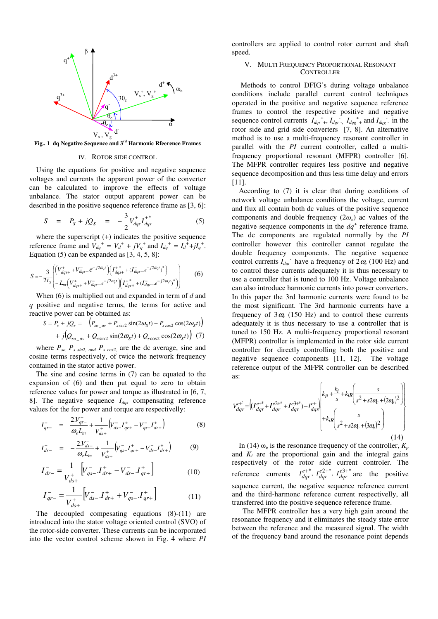

**Fig.. 1 dq Negative Sequence and 3rd Harmonic Rfeerence Frames** 

#### IV. ROTOR SIDE CONTROL

Using the equations for positive and negative sequence voltages and currents the apparent power of the converter can be calculated to improve the effects of voltage unbalance. The stator output apparent power can be described in the positive sequence reference frame as [3, 6]:

$$
S = P_S + jQ_S = -\frac{3}{2}V_{dqs}^+ I_{dqs}^+ \tag{5}
$$

where the superscript  $(+)$  indicates the positive sequence reference frame and  $V_{dq}^+ = V_d^+ + jV_q^+$  and  $I_{dq}^+ = I_d^+ + jI_q^+$ . Equation  $(5)$  can be expanded as  $[3, 4, 5, 8]$ :

$$
S = -\frac{3}{2L_s} \left( \left( V_{dgs+}^+ + V_{dqs-}^- e^{-j2\omega_c t} \right) \left( I_{dgs+}^+ + (I_{dqs-}^- e^{-j2\omega_c t})^* \right) - L_m \left( V_{dgs+}^+ + V_{dgs-}^- e^{-j2\omega_c t} \right) \left( I_{dgr+}^+ + (I_{dgr-}^- e^{-j2\omega_c t})^* \right) \right) \tag{6}
$$

When (6) is multiplied out and expanded in term of *d* and *q* positive and negative terms, the terms for active and reactive power can be obtained as:

$$
S = P_s + jQ_s = (P_{so_{av}} + P_{ssin2} \sin(2\omega_s t) + P_{scos2} \cos(2\omega_s t))
$$
  
+  $j(Q_{so_{av}} + Q_{ssin2} \sin(2\omega_s t) + Q_{scos2} \cos(2\omega_s t))$  (7)

where  $P_{so}$ ,  $P_{s \sin 2, \text{ and }} P_{s \cos 2, \text{ are the dc average, sine and}}$ cosine terms respectively, of twice the network frequency contained in the stator active power.

The sine and cosine terms in (7) can be equated to the expansion of (6) and then put equal to zero to obtain reference values for power and torque as illustrated in [6, 7, 8]. The negative sequence *Idqs* compensating reference values for the for power and torque are respectivelly:

$$
I_{qr-}^{-} = \frac{2.V_{qs-}^{-}}{\omega_e L_m} + \frac{1}{V_{ds+}^{+}} \left( V_{ds-}^{-} I_{qr+}^{+} - V_{qs-}^{-} I_{dr+}^{+} \right)
$$
(8)

$$
I_{dr-}^{-} = -\frac{2V_{ds-}^{-}}{\omega_e L_m} + \frac{1}{V_{ds+}^{+}} \left( V_{qs-}^{-} I_{qr+}^{+} - V_{ds-}^{-} I_{dr+}^{+} \right)
$$
(9)

$$
I_{dr-}^{-} = \frac{1}{V_{ds+}^{+}} \Big[ V_{qs-}^{-} J_{dr+}^{+} - V_{ds-}^{-} J_{qr+}^{+} \Big] \tag{10}
$$

$$
I_{qr-}^{-} = \frac{1}{V_{ds+}^{+}} \Big[ V_{ds-}^{-} J_{dr+}^{+} + V_{qs-}^{-} J_{qr+}^{+} \Big] \tag{11}
$$

The decoupled compesating equations (8)-(11) are introduced into the stator voltage oriented control (SVO) of the rotor-side converter. These currents can be incorporated into the vector control scheme shown in Fig. 4 where *PI*

controllers are applied to control rotor current and shaft speed.

#### V. MULTI FREQUENCY PROPORTIONAL RESONANT **CONTROLLER**

 Methods to control DFIG's during voltage unbalance conditions include parallel current control techniques operated in the positive and negative sequence reference frames to control the respective positive and negative sequence control currents  $I_{dqr}^+$ ,  $I_{dqr}^-$ ,  $I_{dqg}^+$  and  $I_{dqg}^-$  in the rotor side and grid side converters [7, 8]. An alternative method is to use a multi-frequency resonant controller in parallel with the *PI* current controller, called a multifrequency proportional resonant (MFPR) controller [6]. The MFPR controller requires less positive and negative sequence decomposition and thus less time delay and errors [11].

According to (7) it is clear that during conditions of network voltage unbalance conditions the voltage, current and flux all contain both dc values of the positive sequence components and double frequency (2ω*e*) ac values of the negative sequence components in the  $dq^+$  reference frame. The dc components are regulated normally by the *PI* controller however this controller cannot regulate the double frequency components. The negative sequence control currents  $I_{dqr}$  have a frequency of  $2\omega_e$  (100 Hz) and to control these currents adequately it is thus necessary to use a controller that is tuned to 100 Hz. Voltage unbalance can also introduce harmonic currents into power converters. In this paper the 3rd harmonic currents were found to be the most significant. The 3rd harmonic currents have a frequency of  $3\omega_e$  (150 Hz) and to control these currents adequately it is thus necessary to use a controller that is tuned to 150 Hz. A multi-frequency proportional resonant (MFPR) controller is implemented in the rotor side current controller for directly controlling both the positive and negative sequence components [11, 12]. The voltage reference output of the MFPR controller can be described as:

$$
V_{dqr}^{e+} = \left( \int_{dqr}^{e+} + I_{dqr}^{e+} + I_{dqr}^{e+} \right) - I_{dqr}^{e+} \left( k_p + \frac{k_i}{s} + k_i R \left( \frac{s}{s^2 + s2\alpha + (2\alpha + 1)} \right) \right)
$$
\n
$$
+ k_i R \left( \frac{s}{s^2 + s2\alpha + (3\alpha + 1)} \right)
$$
\n
$$
(14)
$$

In (14)  $\omega_e$  is the resonance frequency of the controller,  $K_p$ and  $K_i$  are the proportional gain and the integral gains respectively of the rotor side current controler. The reference currents  $I_{dqr}^{e^{+*}}$ ,  $I_{dqr}^{e^{2+*}}$ ,  $I_{dqr}^{e^{3+*}}$  are the positive sequence current, the negative sequence reference current and the third-harmonc reference current respectivelly, all transferred into the positive sequence reference frame.

 The MFPR controller has a very high gain around the resonance frequency and it eliminates the steady state error between the reference and the measured signal. The width of the frequency band around the resonance point depends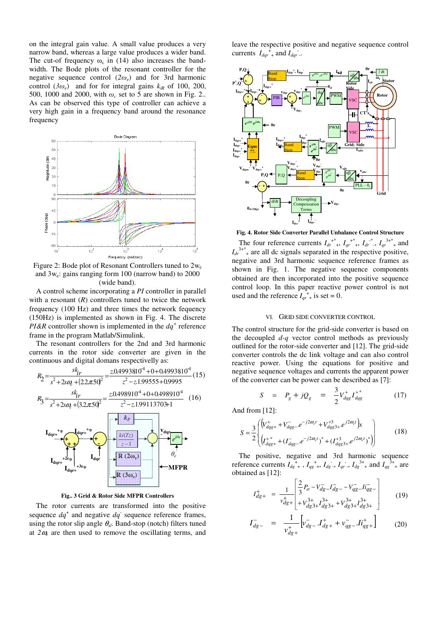on the integral gain value. A small value produces a very narrow band, whereas a large value produces a wider band. The cut-of frequency  $\omega_c$  in (14) also increases the bandwidth. The Bode plots of the resonant controller for the negative sequence control  $(2\omega_e)$  and for 3rd harmonic control  $(\frac{3\omega_e}{})$  and for for integral gains  $k_{iR}$  of 100, 200, 500, 1000 and 2000, with  $\omega_c$  set to 5 are shown in Fig. 2.. As can be observed this type of controller can achieve a very high gain in a frequency band around the resonance frequency



Figure 2: Bode plot of Resonant Controllers tuned to  $2w_e$ and 3w<sup>e</sup> : gains ranging form 100 (narrow band) to 2000 (wide band).

A control scheme incorporating a *PI* controller in parallel with a resonant  $(R)$  controllers tuned to twice the network frequency (100 Hz) and three times the network fequency (150Hz) is implemented as shown in Fig. 4. The discrete *PI&R* controller shown is implemented in the  $dq^+$  reference frame in the program Matlab/Simulink.

The resonant controllers for the 2nd and 3rd harmonic currents in the rotor side converter are given in the continuous and digital domans respectivelly as:



**Fig.. 3 Grid & Rotor Side MFPR Controllers** 

The rotor currents are transformed into the positive sequence  $dq^+$  and negative  $dq^-$  sequence reference frames, using the rotor slip angle  $\theta_{sl}$ . Band-stop (notch) filters tuned at  $2\omega_e$  are then used to remove the oscillating terms, and

leave the respective positive and negative sequence control currents  $I_{dqr}^+$  and  $I_{dqr}$ .



**Fig. 4. Rotor Side Converter Parallel Unbalance Control Structure** 

The four reference currents  $I_{dr}^{+*}$ ,  $I_{qr}^{+*}$ ,  $I_{dr}^{+*}$ ,  $I_{dr}^{+*}$ ,  $I_{qr}^{3+*}$  and  $I_{dr}^{3+*}$  are all dc signals separated in the respective positive, negative and 3rd harmonic sequence reference frames as shown in Fig. 1. The negative sequence components obtained are then incorporated into the positive sequence control loop. In this paper reactive power control is not used and the reference  $I_{qr}^+$  is set = 0.

#### VI. GRID SIDE CONVERTER CONTROL

The control structure for the grid-side converter is based on the decoupled *d-q* vector control methods as previously outlined for the rotor-side converter and [12]. The grid-side converter controls the dc link voltage and can also control reactive power. Using the equations for positive and negative sequence voltages and currents the apparent power of the converter can be power can be described as [7]:

$$
S = P_g + jQ_g = \frac{3}{2}V_{dqg}^+ I_{dqg}^{+*} \tag{17}
$$

And from [12]:

$$
S = \frac{3}{2} \left( \begin{pmatrix} V_{dqg+}^{+} + V_{dqg-}^{-}e^{-j2\omega_{e}t} + V_{dqg3+}^{+3}e^{j2\omega_{e}t} \end{pmatrix} x \begin{pmatrix} 18 \end{pmatrix} \right)
$$
\n
$$
(18)
$$

The positive, negative and 3rd harmonic sequence reference currents  $I_{dg}^{\dagger}$ ,  $I_{gg}^{\dagger}$ ,  $I_{dg}^{\dagger}$ ,  $I_{dg}^{\dagger}$ ,  $I_{qr}$ ,  $I_{dg}^{\dagger}$ , and  $I_{gg}^{\dagger}$ , are obtained as [12]:

$$
I_{dg+}^{+} = \frac{1}{v_{dg+}^{+}} \begin{bmatrix} \frac{2}{3} P_o - V_{dg}^{-} - V_{gg}^{-} - V_{gg}^{-} - H_{qg-}^{-} \\ + V_{dg+}^{3+} + V_{dg+}^{3+} + V_{dg+}^{3+} + V_{gg+}^{3+} \end{bmatrix}
$$
(19)

$$
I_{dg-}^- = \frac{1}{v_{dg+}^+} \Big[ v_{dg-}^- I_{dg+}^+ + v_{gg-}^- I_i_{gg+}^+ \Big] \tag{20}
$$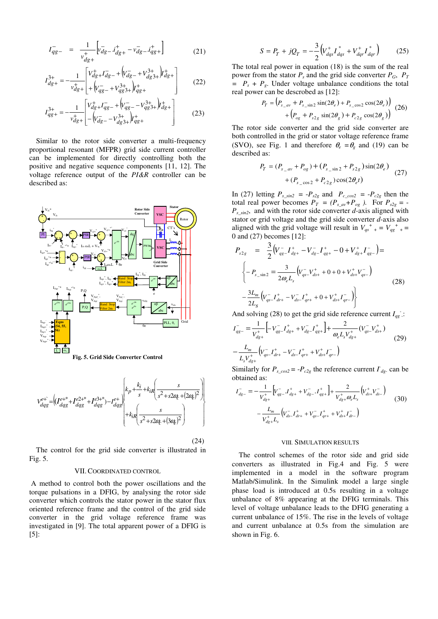$$
I_{qg-}^- = \frac{1}{v_{dg+}^+} \left[ v_{dg-}^- i_{dg+}^+ - v_{dg-}^- i_{gg+}^+ \right] \tag{21}
$$

$$
I_{dg+}^{3+} = -\frac{1}{v_{dg+}^{+}} \begin{bmatrix} V_{dg+}^{+} I_{dg-}^{-} + (V_{dg-}^{-} + V_{dg+}^{3+}) I_{dg+}^{+} \\ + (V_{gg-}^{-} + V_{gg+}^{3+}) I_{gg+}^{+} \end{bmatrix}
$$
 (22)

$$
I_{qg+}^{3+} = -\frac{1}{v_{dg+}^{+}} \begin{bmatrix} V_{dg+}^{+} & V_{qs-}^{-} + (V_{qs-}^{-} - V_{qs+}^{3+}) + (V_{qs+}^{-} - V_{qs+}^{3+}) + (V_{qs-}^{-} - V_{qs+}^{3+}) + (V_{qs-}^{-} - V_{qs+}^{3+}) + (V_{qs-}^{-} - V_{qs+}^{3+}) + (V_{qs-}^{-} - V_{qs+}^{3+}) + (V_{qs-}^{-} - V_{qs+}^{3+}) + (V_{qs-}^{-} - V_{qs+}^{3+}) + (V_{qs-}^{-} - V_{qs+}^{3+}) + (V_{qs-}^{-} - V_{qs+}^{3+}) + (V_{qs-}^{-} - V_{qs+}^{3+}) + (V_{qs-}^{-} - V_{qs+}^{3+}) + (V_{qs-}^{-} - V_{qs+}^{3+}) + (V_{qs-}^{-} - V_{qs+}^{3+}) + (V_{qs-}^{-} - V_{qs+}^{3+}) + (V_{qs-}^{-} - V_{qs+}^{3+}) + (V_{qs-}^{-} - V_{qs+}^{3+}) + (V_{qs-}^{-} - V_{qs+}^{3+}) + (V_{qs-}^{-} - V_{qs+}^{3+}) + (V_{qs-}^{-} - V_{qs+}^{3+}) + (V_{qs-}^{-} - V_{qs+}^{3+}) + (V_{qs-}^{-} - V_{qs+}^{3+}) + (V_{qs-}^{-} - V_{qs+}^{3+}) + (V_{qs-}^{-} - V_{qs+}^{3+}) + (V_{qs-}^{-} - V_{qs+}^{3+}) + (V_{qs-}^{-} - V_{qs+}^{3+}) + (V_{qs-}^{-} - V_{qs+}^{3+}) + (V_{qs-}^{-} - V_{qs+}^{3+}) + (V_{qs-}^{-} - V_{qs+}^{3+}) + (V_{qs-}^{-} - V_{qs+}^{3+}) + (V_{qs-}^{-} - V_{qs+}^{3+}) + (V_{qs-}^{-} - V_{qs+}^{3+}) + (V_{qs-}^{-} - V_{qs+}^{3+}) + (V_{qs-}^{-} - V_{qs+}^{3+}) + (V_{qs-}^{-} - V_{qs+}^{3+}) + (V_{qs-}^{-} - V_{qs+}^{3+}) + (V_{qs-}^{-} - V_{qs+}^{3+}) + (V_{qs-}^{-}
$$

Similar to the rotor side converter a multi-frequency proportional resonant (MFPR) grid side current controller can be implemented for directly controlling both the positive and negative sequence components [11, 12]. The voltage reference output of the *PI&R* controller can be described as:





 $(24)$ 

The control for the grid side converter is illustrated in Fig. 5.

#### VII.COORDINATED CONTROL

 A method to control both the power oscillations and the torque pulsations in a DFIG, by analysing the rotor side converter which controls the stator power in the stator flux oriented reference frame and the control of the grid side converter in the grid voltage reference frame was investigated in [9]. The total apparent power of a DFIG is [5]:

$$
S = P_T + jQ_T = -\frac{3}{2} \left( V_{dqs}^+ I_{dqs}^* + V_{dqr}^+ I_{dqr}^* \right) \tag{25}
$$

The total real power in equation (18) is the sum of the real power from the stator  $P_s$  and the grid side converter  $P_G$ ,  $P_T$  $= P_s + P_g$ . Under voltage unbalance conditions the total real power can be descrobed as [12]:

$$
P_T = (P_{s_{\text{av}}} + P_{s_{\text{v}} \sin 2} \sin(2\theta_e) + P_{s_{\text{v}} \cos 2} \cos(2\theta_e)) + (P_{og} + P_{s_{\text{av}} \sin(2\theta_g)} + P_{c_{\text{av}} \cos(2\theta_g)})
$$
(26)

The rotor side converter and the grid side converter are both controlled in the grid or stator voltage reference frame (SVO), see Fig. 1 and therefore  $\theta_e = \theta_g$  and (19) can be described as:

$$
P_T = (P_{s_{-}av} + P_{og}) + (P_{s_{-}sin 2} + P_{s2g})sin(2\theta_e) + (P_{s_{-}cos 2} + P_{c2g})cos(2\theta_e t)
$$
 (27)

In (27) letting  $P_{s\_sin2} = -P_{s2g}$  and  $P_{c\_cos2} = -P_{c2g}$  then the total real power becomes  $P_T = (P_{s_0} - P_{og})$ . For  $P_{s_2} = -P_{g_0} - P_{g_1}P_{og}$ *Ps\_sin2*, and with the rotor side converter *d-*axis aligned with stator or grid voltage and the grid side converter *d-*axis also aligned with the grid voltage will result in  $V_{qs}^+$  + =  $V_{qg}^+$  + = 0 and (27) becomes [12]:

$$
P_{s2g} = \frac{3}{2} \left( V_{qg}^{-} I_{dg+}^{+} - V_{dg}^{-} I_{qs+}^{+} - 0 + V_{ds+}^{+} I_{gg-}^{-} \right) =
$$
  

$$
\left\{ -P_{s} \sin 2 = \frac{3}{2\omega_e L_s} \left( V_{qs}^{-} V_{ds+}^{+} + 0 + 0 + V_{ds+}^{+} V_{gs-}^{-} \right) - \frac{3L_m}{2L_s} \left( V_{qs}^{-} I_{dr+}^{+} - V_{ds-}^{-} I_{qr+}^{+} + 0 + V_{ds+}^{+} I_{qr-}^{-} \right) \right\}
$$
(28)

And solving (28) to get the grid side reference current  $I_{qg}$ :

$$
I_{qg-}^{-} = \frac{1}{V_{dg+}^{+}} \left[ -V_{qg-}^{-} I_{dg+}^{+} + V_{dg-}^{-} I_{gg+}^{+} \right] + \frac{2}{\omega_{e} L_{s} V_{dg+}^{+}} (V_{qs-}^{-} V_{ds+}^{+})
$$
\n
$$
- \frac{L_{m}}{L_{s} V_{dg+}^{+}} (V_{qs-}^{-} I_{dr+}^{+} - V_{ds-}^{-} I_{qr+}^{+} + V_{ds+}^{+} I_{qr-})
$$
\n
$$
(29)
$$

Similarly for  $P_{s\_cos2} = -P_{c2g}$  the reference current  $I_{dg}$  can be obtained as:

$$
I_{dg-}^{-} = -\frac{1}{V_{dg+}^{+}} \Big[ V_{gg-}^{-} J_{ds+}^{+} + V_{dg-}^{-} J_{gs+}^{+} \Big] + \frac{2}{V_{dg+}^{+} \omega_{e} L_{s}} \Big( V_{ds+}^{+} V_{ds-}^{-} \Big)
$$
  

$$
-\frac{L_{m}}{V_{dg+}^{+} L_{s}} \Big( V_{ds-}^{-} I_{dr+}^{+} + V_{gs-}^{-} I_{qr+}^{+} + V_{ds+}^{+} I_{dr-}^{-} \Big)
$$
(30)

#### VIII. SIMULATION RESULTS

The control schemes of the rotor side and grid side converters as illustrated in Fig.4 and Fig. 5 were implemented in a model in the software program Matlab/Simulink. In the Simulink model a large single phase load is introduced at 0.5s resulting in a voltage unbalance of 8% appearing at the DFIG terminals. This level of voltage unbalance leads to the DFIG generating a current unbalance of 15%. The rise in the levels of voltage and current unbalance at 0.5s from the simulation are shown in Fig. 6.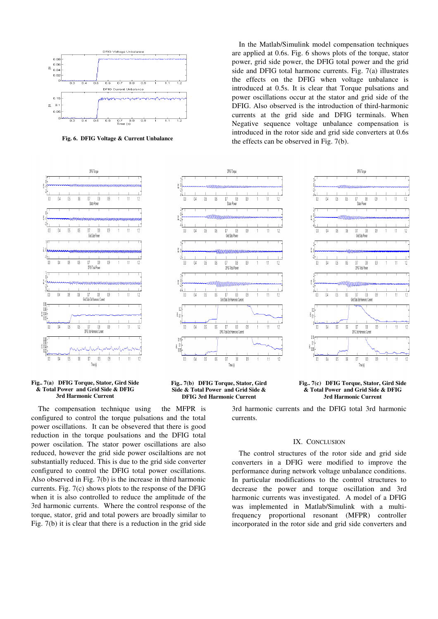

**Fig. 6. DFIG Voltage & Current Unbalance** 



**Fig.. 7(a) DFIG Torque, Stator, Gird Side & Total Power and Grid Side & DFIG 3rd Harmonic Current** 

The compensation technique using the MFPR is configured to control the torque pulsations and the total power oscillations. It can be obsevered that there is good reduction in the torque poulsations and the DFIG total power oscilation. The stator power oscillations are also reduced, however the grid side power oscilaltions are not substantially reduced. This is due to the grid side converter configured to control the DFIG total power oscillations. Also observed in Fig. 7(b) is the increase in third harmonic currents. Fig. 7(c) shows plots to the response of the DFIG when it is also controlled to reduce the amplitude of the 3rd harmonic currents. Where the control response of the torque, stator, grid and total powers are broadly similar to Fig. 7(b) it is clear that there is a reduction in the grid side

In the Matlab/Simulink model compensation techniques are applied at 0.6s. Fig. 6 shows plots of the torque, stator power, grid side power, the DFIG total power and the grid side and DFIG total harmonc currents. Fig. 7(a) illustrates the effects on the DFIG when voltage unbalance is introduced at 0.5s. It is clear that Torque pulsations and power oscillations occur at the stator and grid side of the DFIG. Also observed is the introduction of third-harmonic currents at the grid side and DFIG terminals. When Negative sequence voltage unbalance compensation is introduced in the rotor side and grid side converters at 0.6s the effects can be observed in Fig. 7(b).





**Fig.. 7(b) DFIG Torque, Stator, Gird Side & Total Power and Grid Side & DFIG 3rd Harmonic Current** 

#### **Fig.. 7(c) DFIG Torque, Stator, Gird Side & Total Power and Grid Side & DFIG 3rd Harmonic Current**

3rd harmonic currents and the DFIG total 3rd harmonic currents.

#### IX. CONCLUSION

The control structures of the rotor side and grid side converters in a DFIG were modified to improve the performance during network voltage unbalance conditions. In particular modifications to the control structures to decrease the power and torque oscillation and 3rd harmonic currents was investigated. A model of a DFIG was implemented in Matlab/Simulink with a multifrequency proportional resonant (MFPR) controller incorporated in the rotor side and grid side converters and